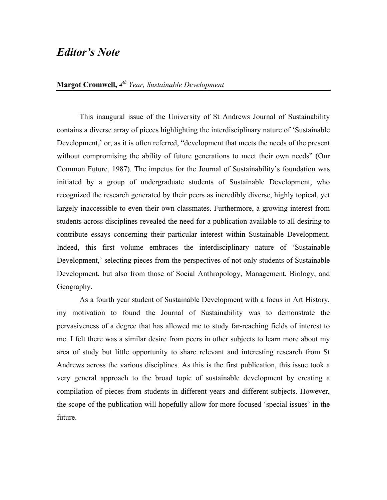## *Editor's Note*

## **Margot Cromwell,** *4th Year, Sustainable Development*

This inaugural issue of the University of St Andrews Journal of Sustainability contains a diverse array of pieces highlighting the interdisciplinary nature of 'Sustainable Development,' or, as it is often referred, "development that meets the needs of the present without compromising the ability of future generations to meet their own needs" (Our Common Future, 1987). The impetus for the Journal of Sustainability's foundation was initiated by a group of undergraduate students of Sustainable Development, who recognized the research generated by their peers as incredibly diverse, highly topical, yet largely inaccessible to even their own classmates. Furthermore, a growing interest from students across disciplines revealed the need for a publication available to all desiring to contribute essays concerning their particular interest within Sustainable Development. Indeed, this first volume embraces the interdisciplinary nature of 'Sustainable Development,' selecting pieces from the perspectives of not only students of Sustainable Development, but also from those of Social Anthropology, Management, Biology, and Geography.

As a fourth year student of Sustainable Development with a focus in Art History, my motivation to found the Journal of Sustainability was to demonstrate the pervasiveness of a degree that has allowed me to study far-reaching fields of interest to me. I felt there was a similar desire from peers in other subjects to learn more about my area of study but little opportunity to share relevant and interesting research from St Andrews across the various disciplines. As this is the first publication, this issue took a very general approach to the broad topic of sustainable development by creating a compilation of pieces from students in different years and different subjects. However, the scope of the publication will hopefully allow for more focused 'special issues' in the future.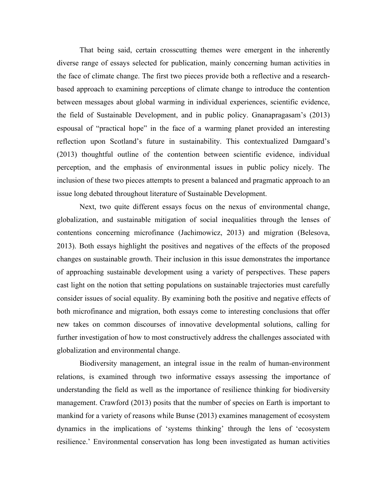That being said, certain crosscutting themes were emergent in the inherently diverse range of essays selected for publication, mainly concerning human activities in the face of climate change. The first two pieces provide both a reflective and a researchbased approach to examining perceptions of climate change to introduce the contention between messages about global warming in individual experiences, scientific evidence, the field of Sustainable Development, and in public policy. Gnanapragasam's (2013) espousal of "practical hope" in the face of a warming planet provided an interesting reflection upon Scotland's future in sustainability. This contextualized Damgaard's (2013) thoughtful outline of the contention between scientific evidence, individual perception, and the emphasis of environmental issues in public policy nicely. The inclusion of these two pieces attempts to present a balanced and pragmatic approach to an issue long debated throughout literature of Sustainable Development.

Next, two quite different essays focus on the nexus of environmental change, globalization, and sustainable mitigation of social inequalities through the lenses of contentions concerning microfinance (Jachimowicz, 2013) and migration (Belesova, 2013). Both essays highlight the positives and negatives of the effects of the proposed changes on sustainable growth. Their inclusion in this issue demonstrates the importance of approaching sustainable development using a variety of perspectives. These papers cast light on the notion that setting populations on sustainable trajectories must carefully consider issues of social equality. By examining both the positive and negative effects of both microfinance and migration, both essays come to interesting conclusions that offer new takes on common discourses of innovative developmental solutions, calling for further investigation of how to most constructively address the challenges associated with globalization and environmental change.

Biodiversity management, an integral issue in the realm of human-environment relations, is examined through two informative essays assessing the importance of understanding the field as well as the importance of resilience thinking for biodiversity management. Crawford (2013) posits that the number of species on Earth is important to mankind for a variety of reasons while Bunse (2013) examines management of ecosystem dynamics in the implications of 'systems thinking' through the lens of 'ecosystem resilience.' Environmental conservation has long been investigated as human activities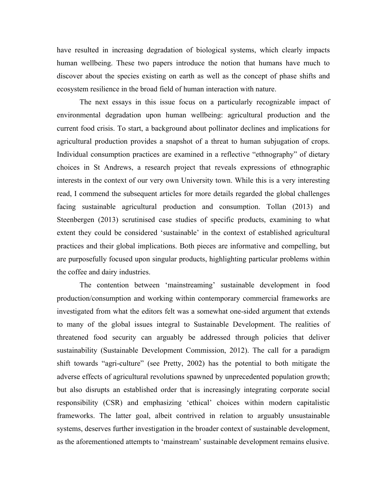have resulted in increasing degradation of biological systems, which clearly impacts human wellbeing. These two papers introduce the notion that humans have much to discover about the species existing on earth as well as the concept of phase shifts and ecosystem resilience in the broad field of human interaction with nature.

The next essays in this issue focus on a particularly recognizable impact of environmental degradation upon human wellbeing: agricultural production and the current food crisis. To start, a background about pollinator declines and implications for agricultural production provides a snapshot of a threat to human subjugation of crops. Individual consumption practices are examined in a reflective "ethnography" of dietary choices in St Andrews, a research project that reveals expressions of ethnographic interests in the context of our very own University town. While this is a very interesting read, I commend the subsequent articles for more details regarded the global challenges facing sustainable agricultural production and consumption. Tollan (2013) and Steenbergen (2013) scrutinised case studies of specific products, examining to what extent they could be considered 'sustainable' in the context of established agricultural practices and their global implications. Both pieces are informative and compelling, but are purposefully focused upon singular products, highlighting particular problems within the coffee and dairy industries.

The contention between 'mainstreaming' sustainable development in food production/consumption and working within contemporary commercial frameworks are investigated from what the editors felt was a somewhat one-sided argument that extends to many of the global issues integral to Sustainable Development. The realities of threatened food security can arguably be addressed through policies that deliver sustainability (Sustainable Development Commission, 2012). The call for a paradigm shift towards "agri-culture" (see Pretty, 2002) has the potential to both mitigate the adverse effects of agricultural revolutions spawned by unprecedented population growth; but also disrupts an established order that is increasingly integrating corporate social responsibility (CSR) and emphasizing 'ethical' choices within modern capitalistic frameworks. The latter goal, albeit contrived in relation to arguably unsustainable systems, deserves further investigation in the broader context of sustainable development, as the aforementioned attempts to 'mainstream' sustainable development remains elusive.